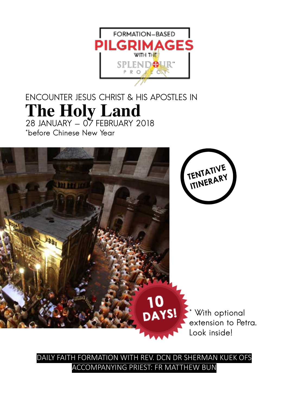

### ENCOUNTER JESUS CHRIST & HIS APOSTLES IN **The Holy Land** 28 JANUARY - 07 FEBRUARY 2018

\*before Chinese New Year



DAILY FAITH FORMATION WITH REV. DCN DR SHERMAN KUEK OFS ACCOMPANYING PRIEST: FR MATTHEW BUN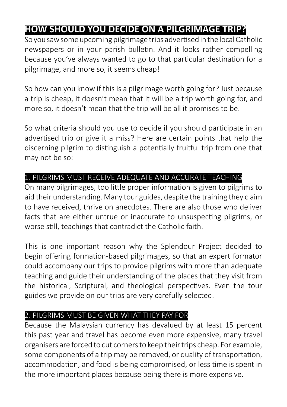### **HOW SHOULD YOU DECIDE ON A PILGRIMAGE TRIP?**

So you saw some upcoming pilgrimage trips advertised in the local Catholic newspapers or in your parish bulletin. And it looks rather compelling because you've always wanted to go to that particular destination for a pilgrimage, and more so, it seems cheap!

So how can you know if this is a pilgrimage worth going for? Just because a trip is cheap, it doesn't mean that it will be a trip worth going for, and more so, it doesn't mean that the trip will be all it promises to be.

So what criteria should you use to decide if you should participate in an advertised trip or give it a miss? Here are certain points that help the discerning pilgrim to distinguish a potentially fruitful trip from one that may not be so:

#### 1. PILGRIMS MUST RECEIVE ADEQUATE AND ACCURATE TEACHING

On many pilgrimages, too little proper information is given to pilgrims to aid their understanding. Many tour guides, despite the training they claim to have received, thrive on anecdotes. There are also those who deliver facts that are either untrue or inaccurate to unsuspecting pilgrims, or worse still, teachings that contradict the Catholic faith.

This is one important reason why the Splendour Project decided to begin offering formation-based pilgrimages, so that an expert formator could accompany our trips to provide pilgrims with more than adequate teaching and guide their understanding of the places that they visit from the historical, Scriptural, and theological perspectives. Even the tour guides we provide on our trips are very carefully selected.

#### 2. PILGRIMS MUST BE GIVEN WHAT THEY PAY FOR

Because the Malaysian currency has devalued by at least 15 percent this past year and travel has become even more expensive, many travel organisers are forced to cut corners to keep their trips cheap. For example, some components of a trip may be removed, or quality of transportation, accommodation, and food is being compromised, or less time is spent in the more important places because being there is more expensive.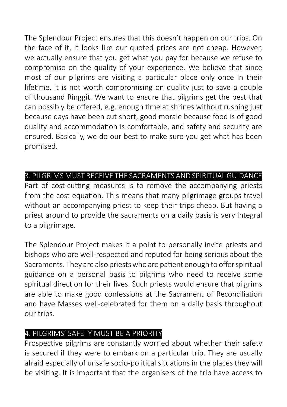The Splendour Project ensures that this doesn't happen on our trips. On the face of it, it looks like our quoted prices are not cheap. However, we actually ensure that you get what you pay for because we refuse to compromise on the quality of your experience. We believe that since most of our pilgrims are visiting a particular place only once in their lifetime, it is not worth compromising on quality just to save a couple of thousand Ringgit. We want to ensure that pilgrims get the best that can possibly be offered, e.g. enough time at shrines without rushing just because days have been cut short, good morale because food is of good quality and accommodation is comfortable, and safety and security are ensured. Basically, we do our best to make sure you get what has been promised.

#### 3. PILGRIMS MUST RECEIVE THE SACRAMENTS AND SPIRITUAL GUIDANCE

Part of cost-cutting measures is to remove the accompanying priests from the cost equation. This means that many pilgrimage groups travel without an accompanying priest to keep their trips cheap. But having a priest around to provide the sacraments on a daily basis is very integral to a pilgrimage.

The Splendour Project makes it a point to personally invite priests and bishops who are well-respected and reputed for being serious about the Sacraments. They are also priests who are patient enough to offer spiritual guidance on a personal basis to pilgrims who need to receive some spiritual direction for their lives. Such priests would ensure that pilgrims are able to make good confessions at the Sacrament of Reconciliation and have Masses well-celebrated for them on a daily basis throughout our trips.

#### 4. PILGRIMS' SAFETY MUST BE A PRIORITY

Prospective pilgrims are constantly worried about whether their safety is secured if they were to embark on a particular trip. They are usually afraid especially of unsafe socio-political situations in the places they will be visiting. It is important that the organisers of the trip have access to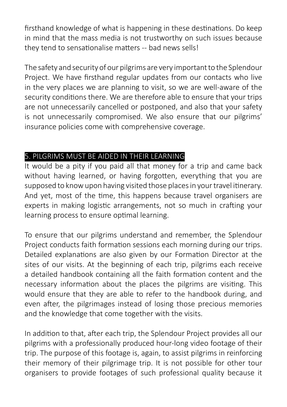firsthand knowledge of what is happening in these destinations. Do keep in mind that the mass media is not trustworthy on such issues because they tend to sensationalise matters -- bad news sells!

The safety and security of our pilgrims are very important to the Splendour Project. We have firsthand regular updates from our contacts who live in the very places we are planning to visit, so we are well-aware of the security conditions there. We are therefore able to ensure that your trips are not unnecessarily cancelled or postponed, and also that your safety is not unnecessarily compromised. We also ensure that our pilgrims' insurance policies come with comprehensive coverage.

#### 5. PILGRIMS MUST BE AIDED IN THEIR LEARNING

It would be a pity if you paid all that money for a trip and came back without having learned, or having forgotten, everything that you are supposed to know upon having visited those places in your travel itinerary. And yet, most of the time, this happens because travel organisers are experts in making logistic arrangements, not so much in crafting your learning process to ensure optimal learning.

To ensure that our pilgrims understand and remember, the Splendour Project conducts faith formation sessions each morning during our trips. Detailed explanations are also given by our Formation Director at the sites of our visits. At the beginning of each trip, pilgrims each receive a detailed handbook containing all the faith formation content and the necessary information about the places the pilgrims are visiting. This would ensure that they are able to refer to the handbook during, and even after, the pilgrimages instead of losing those precious memories and the knowledge that come together with the visits.

In addition to that, after each trip, the Splendour Project provides all our pilgrims with a professionally produced hour-long video footage of their trip. The purpose of this footage is, again, to assist pilgrims in reinforcing their memory of their pilgrimage trip. It is not possible for other tour organisers to provide footages of such professional quality because it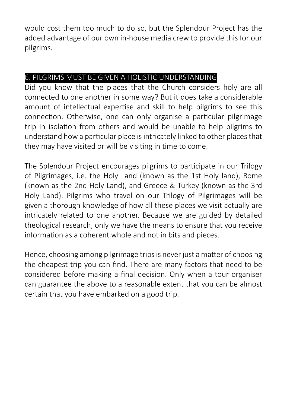would cost them too much to do so, but the Splendour Project has the added advantage of our own in-house media crew to provide this for our pilgrims.

#### 6. PILGRIMS MUST BE GIVEN A HOLISTIC UNDERSTANDING

Did you know that the places that the Church considers holy are all connected to one another in some way? But it does take a considerable amount of intellectual expertise and skill to help pilgrims to see this connection. Otherwise, one can only organise a particular pilgrimage trip in isolation from others and would be unable to help pilgrims to understand how a particular place is intricately linked to other places that they may have visited or will be visiting in time to come.

The Splendour Project encourages pilgrims to participate in our Trilogy of Pilgrimages, i.e. the Holy Land (known as the 1st Holy land), Rome (known as the 2nd Holy Land), and Greece & Turkey (known as the 3rd Holy Land). Pilgrims who travel on our Trilogy of Pilgrimages will be given a thorough knowledge of how all these places we visit actually are intricately related to one another. Because we are guided by detailed theological research, only we have the means to ensure that you receive information as a coherent whole and not in bits and pieces.

Hence, choosing among pilgrimage trips is never just a matter of choosing the cheapest trip you can find. There are many factors that need to be considered before making a final decision. Only when a tour organiser can guarantee the above to a reasonable extent that you can be almost certain that you have embarked on a good trip.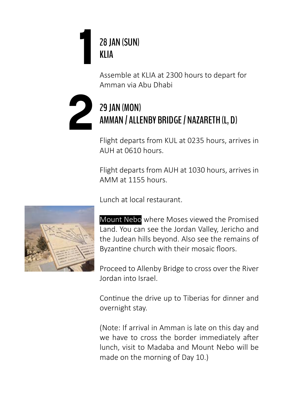

Assemble at KLIA at 2300 hours to depart for Amman via Abu Dhabi

# 29 JAN (MON)<br>AMMAN / ALLI **AMMAN / ALLENBY BRIDGE / NAZARETH (L, D)**

Flight departs from KUL at 0235 hours, arrives in AUH at 0610 hours.

Flight departs from AUH at 1030 hours, arrives in AMM at 1155 hours.

Lunch at local restaurant.

Mount Nebo where Moses viewed the Promised Land. You can see the Jordan Valley, Jericho and the Judean hills beyond. Also see the remains of Byzantine church with their mosaic floors.

Proceed to Allenby Bridge to cross over the River Jordan into Israel.

Continue the drive up to Tiberias for dinner and overnight stay.

(Note: If arrival in Amman is late on this day and we have to cross the border immediately after lunch, visit to Madaba and Mount Nebo will be made on the morning of Day 10.)

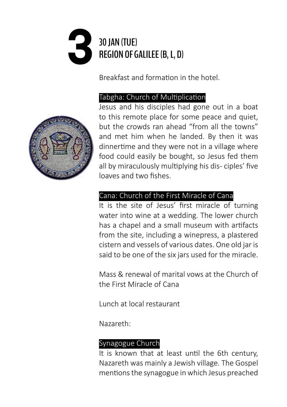# **30 JAN (TUE)**<br>REGION OF C **REGION OF GALILEE (B, L, D)**

Breakfast and formation in the hotel.

#### Tabgha: Church of Multiplication



#### Cana: Church of the First Miracle of Cana

It is the site of Jesus' first miracle of turning water into wine at a wedding. The lower church has a chapel and a small museum with artifacts from the site, including a winepress, a plastered cistern and vessels of various dates. One old jar is said to be one of the six jars used for the miracle.

Mass & renewal of marital vows at the Church of the First Miracle of Cana

Lunch at local restaurant

Nazareth:

#### Synagogue Church

It is known that at least until the 6th century, Nazareth was mainly a Jewish village. The Gospel mentions the synagogue in which Jesus preached

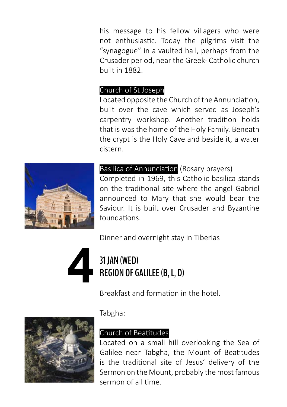his message to his fellow villagers who were not enthusiastic. Today the pilgrims visit the "synagogue" in a vaulted hall, perhaps from the Crusader period, near the Greek- Catholic church built in 1882.

#### Church of St Joseph

Located opposite the Church of the Annunciation, built over the cave which served as Joseph's carpentry workshop. Another tradition holds that is was the home of the Holy Family. Beneath the crypt is the Holy Cave and beside it, a water cistern.



#### Basilica of Annunciation (Rosary prayers)

Completed in 1969, this Catholic basilica stands on the traditional site where the angel Gabriel announced to Mary that she would bear the Saviour. It is built over Crusader and Byzantine foundations.

Dinner and overnight stay in Tiberias



# **REGION OF GALILEE (B, L, D)**

Breakfast and formation in the hotel.



Tabgha:

#### Church of Beatitudes

Located on a small hill overlooking the Sea of Galilee near Tabgha, the Mount of Beatitudes is the traditional site of Jesus' delivery of the Sermon on the Mount, probably the most famous sermon of all time.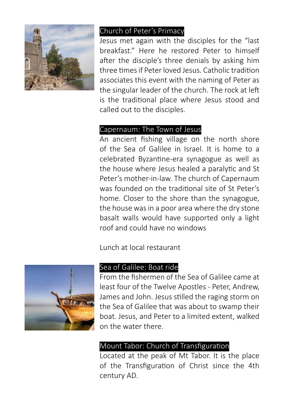

#### Church of Peter's Primacy

Jesus met again with the disciples for the "last breakfast." Here he restored Peter to himself after the disciple's three denials by asking him three times if Peter loved Jesus. Catholic tradition associates this event with the naming of Peter as the singular leader of the church. The rock at left is the traditional place where Jesus stood and called out to the disciples.

#### Capernaum: The Town of Jesus

An ancient fishing village on the north shore of the Sea of Galilee in Israel. It is home to a celebrated Byzantine-era synagogue as well as the house where Jesus healed a paralytic and St Peter's mother-in-law. The church of Capernaum was founded on the traditional site of St Peter's home. Closer to the shore than the synagogue, the house was in a poor area where the dry stone basalt walls would have supported only a light roof and could have no windows

Lunch at local restaurant



#### Sea of Galilee: Boat ride

From the fishermen of the Sea of Galilee came at least four of the Twelve Apostles - Peter, Andrew, James and John. Jesus stilled the raging storm on the Sea of Galilee that was about to swamp their boat. Jesus, and Peter to a limited extent, walked on the water there.

#### Mount Tabor: Church of Transfiguration

Located at the peak of Mt Tabor. It is the place of the Transfiguration of Christ since the 4th century AD.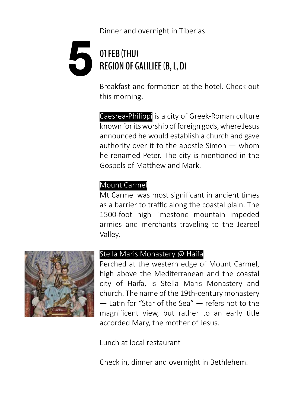# **61 FEB (THU)**<br>REGION OF G **REGION OF GALILIEE (B, L, D)**

Breakfast and formation at the hotel. Check out this morning.

Caesrea-Philippi is a city of Greek-Roman culture known for its worship of foreign gods, where Jesus announced he would establish a church and gave authority over it to the apostle Simon — whom he renamed Peter. The city is mentioned in the Gospels of Matthew and Mark.

#### Mount Carmel

Mt Carmel was most significant in ancient times as a barrier to traffic along the coastal plain. The 1500-foot high limestone mountain impeded armies and merchants traveling to the Jezreel Valley.



#### Stella Maris Monastery @ Haifa

Perched at the western edge of Mount Carmel, high above the Mediterranean and the coastal city of Haifa, is Stella Maris Monastery and church. The name of the 19th-century monastery — Latin for "Star of the Sea" — refers not to the magnificent view, but rather to an early title accorded Mary, the mother of Jesus.

Lunch at local restaurant

Check in, dinner and overnight in Bethlehem.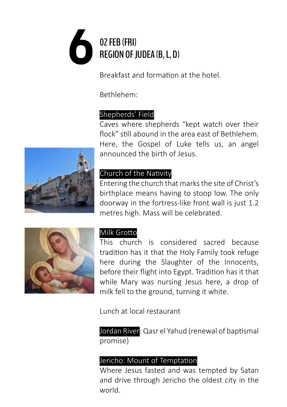# **62 FEB (FRI)**<br>REGION OF J **REGION OF JUDEA (B, L, D)**

Breakfast and formation at the hotel.

Bethlehem:

#### Shepherds' Field

Caves where shepherds "kept watch over their flock" still abound in the area east of Bethlehem. Here, the Gospel of Luke tells us, an angel announced the birth of Jesus.



#### Church of the Nativity

Entering the church that marks the site of Christ's birthplace means having to stoop low. The only doorway in the fortress-like front wall is just 1.2 metres high. Mass will be celebrated.



#### Milk Grotto

This church is considered sacred because tradition has it that the Holy Family took refuge here during the Slaughter of the Innocents, before their flight into Egypt. Tradition has it that while Mary was nursing Jesus here, a drop of milk fell to the ground, turning it white.

Lunch at local restaurant

Jordan River: Qasr el Yahud (renewal of baptismal promise)

#### Jericho: Mount of Temptation

Where Jesus fasted and was tempted by Satan and drive through Jericho the oldest city in the world.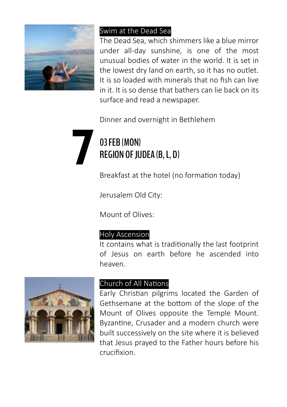

#### Swim at the Dead Sea

The Dead Sea, which shimmers like a blue mirror under all-day sunshine, is one of the most unusual bodies of water in the world. It is set in the lowest dry land on earth, so it has no outlet. It is so loaded with minerals that no fish can live in it. It is so dense that bathers can lie back on its surface and read a newspaper.

Dinner and overnight in Bethlehem

# **703 FEB (MON)**<br>REGION OF JU<br>Broakfast at a **REGION OF JUDEA (B, L, D)**

Breakfast at the hotel (no formation today)

Jerusalem Old City:

Mount of Olives:

#### Holy Ascension

It contains what is traditionally the last footprint of Jesus on earth before he ascended into heaven.



#### Church of All Nations

Early Christian pilgrims located the Garden of Gethsemane at the bottom of the slope of the Mount of Olives opposite the Temple Mount. Byzantine, Crusader and a modern church were built successively on the site where it is believed that Jesus prayed to the Father hours before his crucifixion.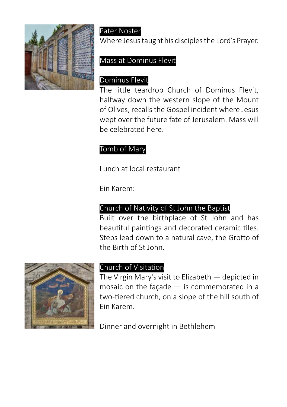

### Pater Noster

Where Jesus taught his disciples the Lord's Prayer.

#### Mass at Dominus Flevit

### Dominus Flevit

The little teardrop Church of Dominus Flevit, halfway down the western slope of the Mount of Olives, recalls the Gospel incident where Jesus wept over the future fate of Jerusalem. Mass will be celebrated here.

#### Tomb of Mary

Lunch at local restaurant

Ein Karem:

#### Church of Nativity of St John the Baptist

Built over the birthplace of St John and has beautiful paintings and decorated ceramic tiles. Steps lead down to a natural cave, the Grotto of the Birth of St John.



#### Church of Visitation

The Virgin Mary's visit to Elizabeth — depicted in mosaic on the façade — is commemorated in a two-tiered church, on a slope of the hill south of Ein Karem.

Dinner and overnight in Bethlehem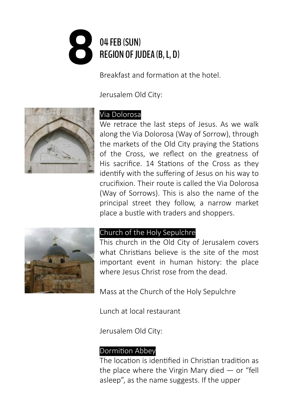# **804 FEB (SUN)**<br>REGION OF JU **REGION OF JUDEA (B, L, D)**

Breakfast and formation at the hotel.

Jerusalem Old City:



#### Via Dolorosa

We retrace the last steps of Jesus. As we walk along the Via Dolorosa (Way of Sorrow), through the markets of the Old City praying the Stations of the Cross, we reflect on the greatness of His sacrifice. 14 Stations of the Cross as they identify with the suffering of Jesus on his way to crucifixion. Their route is called the Via Dolorosa (Way of Sorrows). This is also the name of the principal street they follow, a narrow market place a bustle with traders and shoppers.



#### Church of the Holy Sepulchre

This church in the Old City of Jerusalem covers what Christians believe is the site of the most important event in human history: the place where Jesus Christ rose from the dead.

Mass at the Church of the Holy Sepulchre

Lunch at local restaurant

Jerusalem Old City:

#### Dormition Abbey

The location is identified in Christian tradition as the place where the Virgin Mary died  $-$  or "fell asleep", as the name suggests. If the upper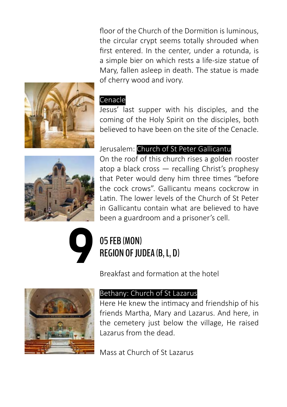floor of the Church of the Dormition is luminous, the circular crypt seems totally shrouded when first entered. In the center, under a rotunda, is a simple bier on which rests a life-size statue of Mary, fallen asleep in death. The statue is made of cherry wood and ivory.



#### Cenacle

Jesus' last supper with his disciples, and the coming of the Holy Spirit on the disciples, both believed to have been on the site of the Cenacle.

Jerusalem: Church of St Peter Gallicantu On the roof of this church rises a golden rooster atop a black cross — recalling Christ's prophesy

that Peter would deny him three times "before the cock crows". Gallicantu means cockcrow in Latin. The lower levels of the Church of St Peter in Gallicantu contain what are believed to have been a guardroom and a prisoner's cell.



# 05 FEB (MON)<br>REGION OF JU **REGION OF JUDEA (B, L, D)**

Breakfast and formation at the hotel



#### Bethany: Church of St Lazarus

Here He knew the intimacy and friendship of his friends Martha, Mary and Lazarus. And here, in the cemetery just below the village, He raised Lazarus from the dead.

Mass at Church of St Lazarus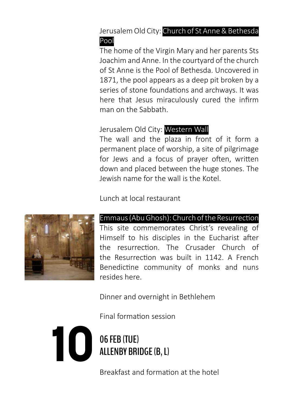Jerusalem Old City: Church of St Anne & Bethesda Pool

The home of the Virgin Mary and her parents Sts Joachim and Anne. In the courtyard of the church of St Anne is the Pool of Bethesda. Uncovered in 1871, the pool appears as a deep pit broken by a series of stone foundations and archways. It was here that Jesus miraculously cured the infirm man on the Sabbath.

#### Jerusalem Old City: Western Wall

The wall and the plaza in front of it form a permanent place of worship, a site of pilgrimage for Jews and a focus of prayer often, written down and placed between the huge stones. The Jewish name for the wall is the Kotel.

Lunch at local restaurant



#### Emmaus (Abu Ghosh): Church of the Resurrection

This site commemorates Christ's revealing of Himself to his disciples in the Eucharist after the resurrection. The Crusader Church of the Resurrection was built in 1142. A French Benedictine community of monks and nuns resides here.

Dinner and overnight in Bethlehem

Final formation session

**1006 FEB (TUE)**<br>ALLENBY BRI **ALLENBY BRIDGE (B, L)**

Breakfast and formation at the hotel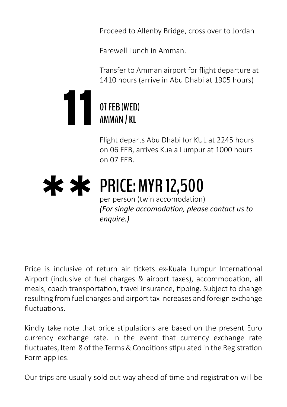Proceed to Allenby Bridge, cross over to Jordan

Farewell Lunch in Amman.

Transfer to Amman airport for flight departure at 1410 hours (arrive in Abu Dhabi at 1905 hours)



Flight departs Abu Dhabi for KUL at 2245 hours

on 06 FEB, arrives Kuala Lumpur at 1000 hours on 07 FEB.

### **\*\*PRICE: MYR 12,500**

per person (twin accomodation) *(For single accomodation, please contact us to enquire.)*

Price is inclusive of return air tickets ex-Kuala Lumpur International Airport (inclusive of fuel charges & airport taxes), accommodation, all meals, coach transportation, travel insurance, tipping. Subject to change resulting from fuel charges and airport tax increases and foreign exchange fluctuations.

Kindly take note that price stipulations are based on the present Euro currency exchange rate. In the event that currency exchange rate fluctuates, Item 8 of the Terms & Conditions stipulated in the Registration Form applies.

Our trips are usually sold out way ahead of time and registration will be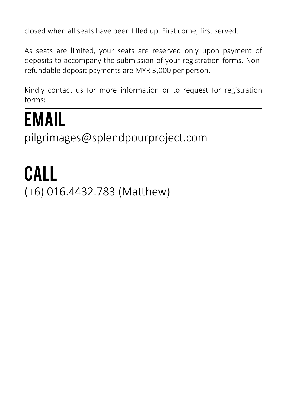closed when all seats have been filled up. First come, first served.

As seats are limited, your seats are reserved only upon payment of deposits to accompany the submission of your registration forms. Nonrefundable deposit payments are MYR 3,000 per person.

Kindly contact us for more information or to request for registration forms:

### EMAIL

pilgrimages@splendpourproject.com

# CALL

(+6) 016.4432.783 (Matthew)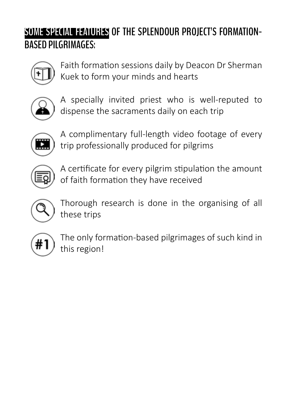### **SOME SPECIAL FAMURES OF THE SPLENDOUR PROJECT'S FORMATION-BASED PILGRIMAGES:**



Faith formation sessions daily by Deacon Dr Sherman Kuek to form your minds and hearts



A specially invited priest who is well-reputed to dispense the sacraments daily on each trip



A complimentary full-length video footage of every trip professionally produced for pilgrims



A certificate for every pilgrim stipulation the amount of faith formation they have received



Thorough research is done in the organising of all these trips



The only formation-based pilgrimages of such kind in this region!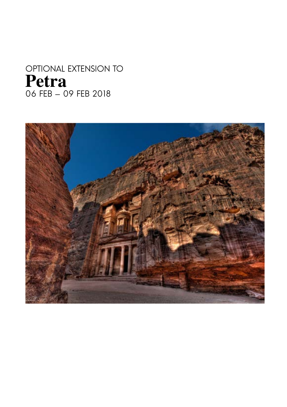### OPTIONAL EXTENSION TO **Petra** 06 FEB - 09 FEB 2018

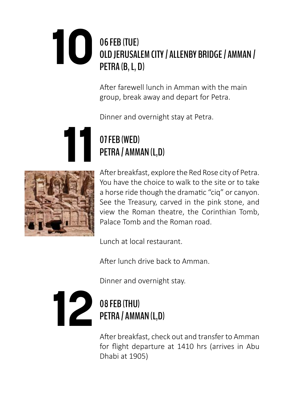### **106 FEB (TUE)**<br>**10.0** FEB (TUE) **OLD JERUSALEM CITY / ALLENBY BRIDGE / AMMAN / PETRA (B, L, D)**

After farewell lunch in Amman with the main group, break away and depart for Petra.

Dinner and overnight stay at Petra.

# **11 11 07 FEB (WED)**<br>**PETRA / AMM PETRA / AMMAN (L,D)**



After breakfast, explore the Red Rose city of Petra. You have the choice to walk to the site or to take a horse ride though the dramatic "ciq" or canyon. See the Treasury, carved in the pink stone, and view the Roman theatre, the Corinthian Tomb, Palace Tomb and the Roman road.

Lunch at local restaurant.

After lunch drive back to Amman.

Dinner and overnight stay.

### **12 08 FEB (THU)**<br>**PETRA / AMM PETRA / AMMAN (L,D)**

After breakfast, check out and transfer to Amman for flight departure at 1410 hrs (arrives in Abu Dhabi at 1905)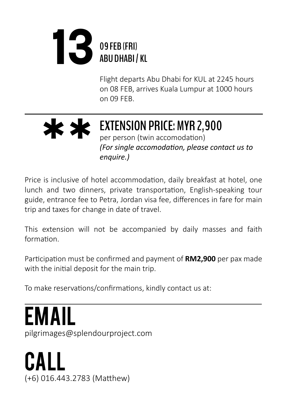### **1309 FEB (FRI) ABU DHABI / KL**

Flight departs Abu Dhabi for KUL at 2245 hours on 08 FEB, arrives Kuala Lumpur at 1000 hours on 09 FEB.

### **\*\*EXTENSION PRICE: MYR 2,900** per person (twin accomodation) *(For single accomodation, please contact us to enquire.)*

Price is inclusive of hotel accommodation, daily breakfast at hotel, one lunch and two dinners, private transportation, English-speaking tour guide, entrance fee to Petra, Jordan visa fee, differences in fare for main trip and taxes for change in date of travel.

This extension will not be accompanied by daily masses and faith formation.

Participation must be confirmed and payment of **RM2,900** per pax made with the initial deposit for the main trip.

To make reservations/confirmations, kindly contact us at:

EMAIL pilgrimages@splendourproject.com

CALL (+6) 016.443.2783 (Matthew)